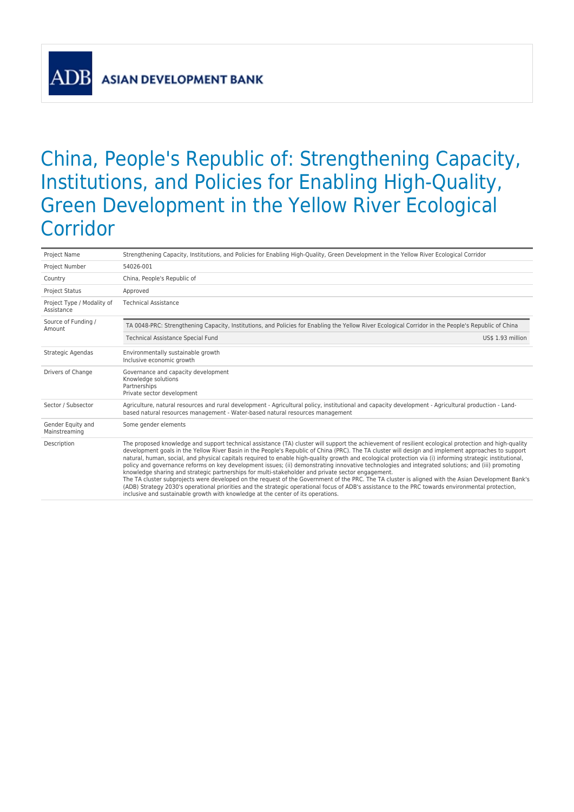**ASIAN DEVELOPMENT BANK** 

## China, People's Republic of: Strengthening Capacity, Institutions, and Policies for Enabling High-Quality, Green Development in the Yellow River Ecological Corridor

| Project Name                             | Strengthening Capacity, Institutions, and Policies for Enabling High-Quality, Green Development in the Yellow River Ecological Corridor                                                                                                                                                                                                                                                                                                                                                                                                                                                                                                                                                                                                                                                                                                                                                                                                                                                                                                                                                                                            |  |  |  |
|------------------------------------------|------------------------------------------------------------------------------------------------------------------------------------------------------------------------------------------------------------------------------------------------------------------------------------------------------------------------------------------------------------------------------------------------------------------------------------------------------------------------------------------------------------------------------------------------------------------------------------------------------------------------------------------------------------------------------------------------------------------------------------------------------------------------------------------------------------------------------------------------------------------------------------------------------------------------------------------------------------------------------------------------------------------------------------------------------------------------------------------------------------------------------------|--|--|--|
| Project Number                           | 54026-001                                                                                                                                                                                                                                                                                                                                                                                                                                                                                                                                                                                                                                                                                                                                                                                                                                                                                                                                                                                                                                                                                                                          |  |  |  |
| Country                                  | China, People's Republic of                                                                                                                                                                                                                                                                                                                                                                                                                                                                                                                                                                                                                                                                                                                                                                                                                                                                                                                                                                                                                                                                                                        |  |  |  |
| <b>Project Status</b>                    | Approved                                                                                                                                                                                                                                                                                                                                                                                                                                                                                                                                                                                                                                                                                                                                                                                                                                                                                                                                                                                                                                                                                                                           |  |  |  |
| Project Type / Modality of<br>Assistance | <b>Technical Assistance</b>                                                                                                                                                                                                                                                                                                                                                                                                                                                                                                                                                                                                                                                                                                                                                                                                                                                                                                                                                                                                                                                                                                        |  |  |  |
| Source of Funding /<br>Amount            | TA 0048-PRC: Strengthening Capacity, Institutions, and Policies for Enabling the Yellow River Ecological Corridor in the People's Republic of China                                                                                                                                                                                                                                                                                                                                                                                                                                                                                                                                                                                                                                                                                                                                                                                                                                                                                                                                                                                |  |  |  |
|                                          | <b>Technical Assistance Special Fund</b><br>US\$ 1.93 million                                                                                                                                                                                                                                                                                                                                                                                                                                                                                                                                                                                                                                                                                                                                                                                                                                                                                                                                                                                                                                                                      |  |  |  |
| Strategic Agendas                        | Environmentally sustainable growth<br>Inclusive economic growth                                                                                                                                                                                                                                                                                                                                                                                                                                                                                                                                                                                                                                                                                                                                                                                                                                                                                                                                                                                                                                                                    |  |  |  |
| Drivers of Change                        | Governance and capacity development<br>Knowledge solutions<br>Partnerships<br>Private sector development                                                                                                                                                                                                                                                                                                                                                                                                                                                                                                                                                                                                                                                                                                                                                                                                                                                                                                                                                                                                                           |  |  |  |
| Sector / Subsector                       | Agriculture, natural resources and rural development - Agricultural policy, institutional and capacity development - Agricultural production - Land-<br>based natural resources management - Water-based natural resources management                                                                                                                                                                                                                                                                                                                                                                                                                                                                                                                                                                                                                                                                                                                                                                                                                                                                                              |  |  |  |
| Gender Equity and<br>Mainstreaming       | Some gender elements                                                                                                                                                                                                                                                                                                                                                                                                                                                                                                                                                                                                                                                                                                                                                                                                                                                                                                                                                                                                                                                                                                               |  |  |  |
| Description                              | The proposed knowledge and support technical assistance (TA) cluster will support the achievement of resilient ecological protection and high-quality<br>development goals in the Yellow River Basin in the People's Republic of China (PRC). The TA cluster will design and implement approaches to support<br>natural, human, social, and physical capitals required to enable high-quality growth and ecological protection via (i) informing strategic institutional,<br>policy and governance reforms on key development issues; (ii) demonstrating innovative technologies and integrated solutions; and (iii) promoting<br>knowledge sharing and strategic partnerships for multi-stakeholder and private sector engagement.<br>The TA cluster subprojects were developed on the request of the Government of the PRC. The TA cluster is aligned with the Asian Development Bank's<br>(ADB) Strategy 2030's operational priorities and the strategic operational focus of ADB's assistance to the PRC towards environmental protection,<br>inclusive and sustainable growth with knowledge at the center of its operations. |  |  |  |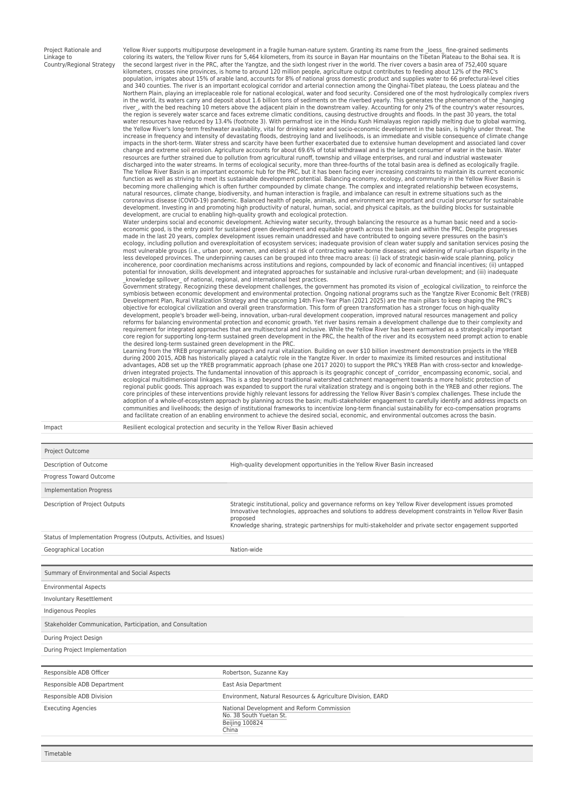| Project Rationale and     |
|---------------------------|
| Linkage to                |
| Country/Regional Strategy |

Yellow River supports multipurpose development in a fragile human-nature system. Granting its name from the Loess\_ fine-grained sediments coloring its waters, the Yellow River runs for 5,464 kilometers, from its source in Bayan Har mountains on the Tibetan Plateau to the Bohai sea. It is the second largest river in the PRC, after the Yangtze, and the sixth longest river in the world. The river covers a basin area of 752,400 square kilometers, crosses nine provinces, is home to around 120 million people, agriculture output contributes to feeding about 12% of the PRC's population, irrigates about 15% of arable land, accounts for 8% of national gross domestic product and supplies water to 66 prefectural-level cities and 340 counties. The river is an important ecological corridor and arterial connection among the Qinghai-Tibet plateau, the Loess plateau and the Northern Plain, playing an irreplaceable role for national ecological, water and food security. Considered one of the most hydrologically complex rivers<br>in the world, its waters carry and deposit about 1.6 billion tons of river\_, with the bed reaching 10 meters above the adjacent plain in the downstream valley. Accounting for only 2% of the country's water resources, the region is severely water scarce and faces extreme climatic conditions, causing destructive droughts and floods. In the past 30 years, the total<br>water resources have reduced by 13.4% (footnote 3). With permafrost ice in the Yellow River's long-term freshwater availability, vital for drinking water and socio-economic development in the basin, is highly under threat. The<br>increase in frequency and intensity of devastating floods, destroying impacts in the short-term. Water stress and scarcity have been further exacerbated due to extensive human development and associated land cover change and extreme soil erosion. Agriculture accounts for about 69.6% of total withdrawal and is the largest consumer of water in the basin. Water<br>resources are further strained due to pollution from agricultural runoff, t discharged into the water streams. In terms of ecological security, more than three-fourths of the total basin area is defined as ecologically fragile. The Yellow River Basin is an important economic hub for the PRC, but it has been facing ever increasing constraints to maintain its current economic<br>function as well as striving to meet its sustainable development potentia coronavirus disease (COVID-19) pandemic. Balanced health of people, animals, and environment are important and crucial precursor for sustainable development. Investing in and promoting high productivity of natural, human, social, and physical capitals, as the building blocks for sustainable<br>development, are crucial to enabling high-quality growth and ecological pro

Water underpins social and economic development. Achieving water security, through balancing the resource as a human basic need and a socioeconomic good, is the entry point for sustained green development and equitable growth across the basin and within the PRC. Despite progresses made in the last 20 years, complex development issues remain unaddressed and have contributed to ongoing severe pressures on the basin's<br>ecology, including pollution and overexploitation of ecosystem services; inadequate p most vulnerable groups (i.e., urban poor, women, and elders) at risk of contracting water-borne diseases; and widening of rural-urban disparity in the<br>less developed provinces. The underpinning causes can be grouped into t potential for innovation, skills development and integrated approaches for sustainable and inclusive rural-urban development; and (iii) inadequate<br>\_knowledge spillover\_ of national, regional, and international best practic

Government strategy. Recognizing these development challenges, the government has promoted its vision of \_ecological civilization\_ to reinforce the symbiosis between economic development and environmental protection. Ongoing national programs such as the Yangtze River Economic Belt (YREB)<br>Development Plan, Rural Vitalization Strategy and the upcoming 14th Five-Year Pl objective for ecological civilization and overall green transformation. This form of green transformation has a stronger focus on high-quality development, people's broader well-being, innovation, urban-rural development cooperation, improved natural resources management and policy<br>reforms for balancing environmental protection and economic growth. Yet river basi requirement for integrated approaches that are multisectoral and inclusive. While the Yellow River has been earmarked as a strategically important core region for supporting long-term sustained green development in the PRC, the health of the river and its ecosystem need prompt action to enable the desired long-term sustained green development in the PRC.

Learning from the YREB programmatic approach and rural vitalization. Building on over \$10 billion investment demonstration projects in the YREB<br>during 2000 2015, ADB has historically played a catalytic role in the Yangtze advantages, ADB set up the YREB programmatic approach (phase one 2017 2020) to support the PRC's YREB Plan with cross-sector and knowledgedriven integrated projects. The fundamental innovation of this approach is its geographic concept of \_corridor\_ encompassing economic, social, and<br>ecological multidimensional linkages. This is a step beyond traditional wat regional public goods. This approach was expanded to support the rural vitalization strategy and is ongoing both in the YREB and other regions. The core principles of these interventions provide highly relevant lessons for addressing the Yellow River Basin's complex challenges. These include the<br>adoption of a whole-of-ecosystem approach by planning across the basin; m communities and livelihoods; the design of institutional frameworks to incentivize long-term financial sustainability for eco-compensation programs and facilitate creation of an enabling environment to achieve the desired social, economic, and environmental outcomes across the basin.

Impact Resilient ecological protection and security in the Yellow River Basin achieved

| Project Outcome                                                     |                                                                                                                                                                                                                                                                                                                                             |  |  |  |
|---------------------------------------------------------------------|---------------------------------------------------------------------------------------------------------------------------------------------------------------------------------------------------------------------------------------------------------------------------------------------------------------------------------------------|--|--|--|
| Description of Outcome                                              | High-quality development opportunities in the Yellow River Basin increased                                                                                                                                                                                                                                                                  |  |  |  |
| Progress Toward Outcome                                             |                                                                                                                                                                                                                                                                                                                                             |  |  |  |
| <b>Implementation Progress</b>                                      |                                                                                                                                                                                                                                                                                                                                             |  |  |  |
| Description of Project Outputs                                      | Strategic institutional, policy and governance reforms on key Yellow River development issues promoted<br>Innovative technologies, approaches and solutions to address development constraints in Yellow River Basin<br>proposed<br>Knowledge sharing, strategic partnerships for multi-stakeholder and private sector engagement supported |  |  |  |
| Status of Implementation Progress (Outputs, Activities, and Issues) |                                                                                                                                                                                                                                                                                                                                             |  |  |  |
| Geographical Location                                               | Nation-wide                                                                                                                                                                                                                                                                                                                                 |  |  |  |
|                                                                     |                                                                                                                                                                                                                                                                                                                                             |  |  |  |
| Summary of Environmental and Social Aspects                         |                                                                                                                                                                                                                                                                                                                                             |  |  |  |
| <b>Environmental Aspects</b>                                        |                                                                                                                                                                                                                                                                                                                                             |  |  |  |
| <b>Involuntary Resettlement</b>                                     |                                                                                                                                                                                                                                                                                                                                             |  |  |  |
| Indigenous Peoples                                                  |                                                                                                                                                                                                                                                                                                                                             |  |  |  |
| Stakeholder Communication, Participation, and Consultation          |                                                                                                                                                                                                                                                                                                                                             |  |  |  |
| During Project Design                                               |                                                                                                                                                                                                                                                                                                                                             |  |  |  |
| During Project Implementation                                       |                                                                                                                                                                                                                                                                                                                                             |  |  |  |
|                                                                     |                                                                                                                                                                                                                                                                                                                                             |  |  |  |
| Responsible ADB Officer                                             | Robertson, Suzanne Kay                                                                                                                                                                                                                                                                                                                      |  |  |  |
| Responsible ADB Department                                          | East Asia Department                                                                                                                                                                                                                                                                                                                        |  |  |  |
| Responsible ADB Division                                            | Environment, Natural Resources & Agriculture Division, EARD                                                                                                                                                                                                                                                                                 |  |  |  |
| <b>Executing Agencies</b>                                           | National Development and Reform Commission<br>No. 38 South Yuetan St.<br>Beijing 100824<br>China                                                                                                                                                                                                                                            |  |  |  |
|                                                                     |                                                                                                                                                                                                                                                                                                                                             |  |  |  |